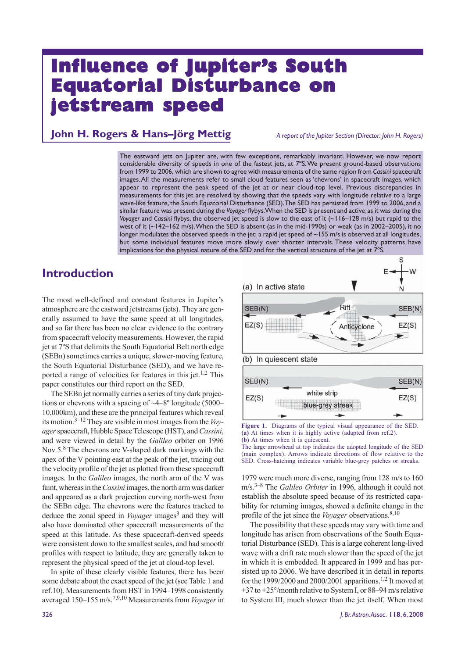# **Influence of Jupiter's South Equatorial Disturbance on Equatorial Disturbance on jetstream speed eam speed**

# **John H. Rogers & Hans–Jörg Mettig** *A report of the Jupiter Section (Director: John H. Rogers)*

The eastward jets on Jupiter are, with few exceptions, remarkably invariant. However, we now report considerable diversity of speeds in one of the fastest jets, at 7ºS. We present ground-based observations from 1999 to 2006, which are shown to agree with measurements of the same region from *Cassini* spacecraft images. All the measurements refer to small cloud features seen as 'chevrons' in spacecraft images, which appear to represent the peak speed of the jet at or near cloud-top level. Previous discrepancies in measurements for this jet are resolved by showing that the speeds vary with longitude relative to a large wave-like feature, the South Equatorial Disturbance (SED). The SED has persisted from 1999 to 2006, and a similar feature was present during the *Voyager* flybys. When the SED is present and active, as it was during the *Voyager* and *Cassini* flybys, the observed jet speed is slow to the east of it (~116–128 m/s) but rapid to the west of it (~142–162 m/s). When the SED is absent (as in the mid-1990s) or weak (as in 2002–2005), it no longer modulates the observed speeds in the jet: a rapid jet speed of ~155 m/s is observed at all longitudes, but some individual features move more slowly over shorter intervals. These velocity patterns have implications for the physical nature of the SED and for the vertical structure of the jet at 7ºS.

# **Introduction**

The most well-defined and constant features in Jupiter's atmosphere are the eastward jetstreams (jets). They are generally assumed to have the same speed at all longitudes, and so far there has been no clear evidence to the contrary from spacecraft velocity measurements. However, the rapid jet at 7ºS that delimits the South Equatorial Belt north edge (SEBn) sometimes carries a unique, slower-moving feature, the South Equatorial Disturbance (SED), and we have reported a range of velocities for features in this jet.<sup>1,2</sup> This paper constitutes our third report on the SED.

The SEBn jet normally carries a series of tiny dark projections or chevrons with a spacing of ~4–8º longitude (5000– 10,000km), and these are the principal features which reveal its motion.3–12 They are visible in most images from the *Voyager* spacecraft, Hubble Space Telescope (HST), and *Cassini*, and were viewed in detail by the *Galileo* orbiter on 1996 Nov 5.8 The chevrons are V-shaped dark markings with the apex of the V pointing east at the peak of the jet, tracing out the velocity profile of the jet as plotted from these spacecraft images. In the *Galileo* images, the north arm of the V was faint, whereas in the *Cassini* images, the north arm was darker and appeared as a dark projection curving north-west from the SEBn edge. The chevrons were the features tracked to deduce the zonal speed in *Voyager* images<sup>3</sup> and they will also have dominated other spacecraft measurements of the speed at this latitude. As these spacecraft-derived speeds were consistent down to the smallest scales, and had smooth profiles with respect to latitude, they are generally taken to represent the physical speed of the jet at cloud-top level.

In spite of these clearly visible features, there has been some debate about the exact speed of the jet (see Table 1 and ref.10). Measurements from HST in 1994–1998 consistently averaged 150–155 m/s.7,9,10 Measurements from *Voyager* in



**Figure 1.** Diagrams of the typical visual appearance of the SED. **(a)** At times when it is highly active (adapted from ref.2). **(b)** At times when it is quiescent.

The large arrowhead at top indicates the adopted longitude of the SED (main complex). Arrows indicate directions of flow relative to the SED. Cross-hatching indicates variable blue-grey patches or streaks.

1979 were much more diverse, ranging from 128 m/s to 160 m/s.3–8 The *Galileo Orbiter* in 1996, although it could not establish the absolute speed because of its restricted capability for returning images, showed a definite change in the profile of the jet since the *Voyager* observations.<sup>8,10</sup>

The possibility that these speeds may vary with time and longitude has arisen from observations of the South Equatorial Disturbance (SED). This is a large coherent long-lived wave with a drift rate much slower than the speed of the jet in which it is embedded. It appeared in 1999 and has persisted up to 2006. We have described it in detail in reports for the 1999/2000 and 2000/2001 apparitions.<sup>1,2</sup> It moved at +37 to +25°/month relative to System I, or 88–94 m/s relative to System III, much slower than the jet itself. When most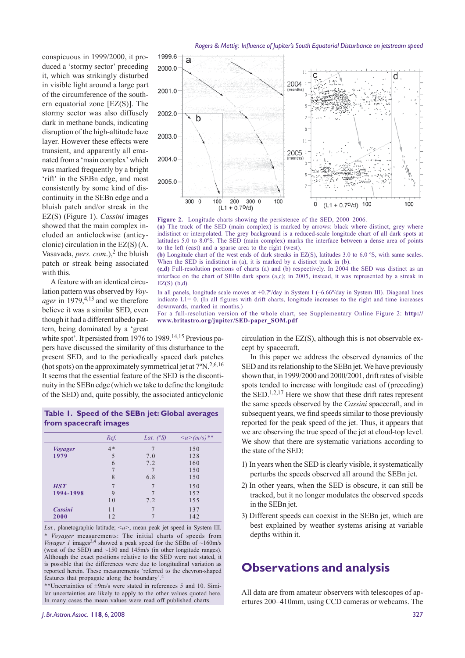conspicuous in 1999/2000, it produced a 'stormy sector' preceding it, which was strikingly disturbed in visible light around a large part of the circumference of the southern equatorial zone [EZ(S)]. The stormy sector was also diffusely dark in methane bands, indicating disruption of the high-altitude haze layer. However these effects were transient, and apparently all emanated from a 'main complex' which was marked frequently by a bright 'rift' in the SEBn edge, and most consistently by some kind of discontinuity in the SEBn edge and a bluish patch and/or streak in the EZ(S) (Figure 1). *Cassini* images showed that the main complex included an anticlockwise (anticyclonic) circulation in the EZ(S) (A. Vasavada, *pers. com.*),<sup>2</sup> the bluish patch or streak being associated with this.

A feature with an identical circulation pattern was observed by *Voyager* in 1979,<sup>4,13</sup> and we therefore believe it was a similar SED, even though it had a different albedo pattern, being dominated by a 'great

white spot'. It persisted from 1976 to 1989.<sup>14,15</sup> Previous papers have discussed the similarity of this disturbance to the present SED, and to the periodically spaced dark patches (hot spots) on the approximately symmetrical jet at  $7^{\circ}N^{2,6,16}$ It seems that the essential feature of the SED is the discontinuity in the SEBn edge (which we take to define the longitude of the SED) and, quite possibly, the associated anticyclonic

### **Table 1. Speed of the SEBn jet: Global averages from spacecraft images**

|                | Ref. | Lat. $(S)$ | $\langle u \rangle (m/s)^{**}$ |
|----------------|------|------------|--------------------------------|
| <i>Voyager</i> | $4*$ |            | 150                            |
| 1979           | 5    | 7.0        | 128                            |
|                | 6    | 7.2        | 160                            |
|                |      |            | 150                            |
|                | 8    | 6.8        | 150                            |
| <b>HST</b>     |      |            | 150                            |
| 1994-1998      | 9    |            | 152                            |
|                | 10   | 7.2        | 155                            |
| Cassini        | 11   |            | 137                            |
| 2000           | 12   |            | 142                            |

Lat., planetographic latitude;  $\langle u \rangle$ , mean peak jet speed in System III. *Voyager* measurements: The initial charts of speeds from *Voyager 1* images<sup>3,4</sup> showed a peak speed for the SEBn of  $\sim$ 160m/s (west of the SED) and ~150 and 145m/s (in other longitude ranges). Although the exact positions relative to the SED were not stated, it is possible that the differences were due to longitudinal variation as reported herein. These measurements 'referred to the chevron-shaped features that propagate along the boundary'.4

\*\*Uncertainties of ±9m/s were stated in references 5 and 10. Similar uncertainties are likely to apply to the other values quoted here. In many cases the mean values were read off published charts.



**Figure 2.** Longitude charts showing the persistence of the SED, 2000–2006.

**(a)** The track of the SED (main complex) is marked by arrows: black where distinct, grey where indistinct or interpolated. The grey background is a reduced-scale longitude chart of all dark spots at latitudes 5.0 to 8.0ºS. The SED (main complex) marks the interface between a dense area of points to the left (east) and a sparse area to the right (west).

**(b)** Longitude chart of the west ends of dark streaks in EZ(S), latitudes 3.0 to 6.0 ºS, with same scales. When the SED is indistinct in (a), it is marked by a distinct track in (b).

**(c,d)** Full-resolution portions of charts (a) and (b) respectively. In 2004 the SED was distinct as an interface on the chart of SEBn dark spots (a,c); in 2005, instead, it was represented by a streak in  $EZ(S)$   $(b,d)$ .

In all panels, longitude scale moves at +0.7°/day in System I (-6.66°/day in System III). Diagonal lines indicate L1= 0. (In all figures with drift charts, longitude increases to the right and time increases downwards, marked in months.)

For a full-resolution version of the whole chart, see Supplementary Online Figure 2: **http:// www.britastro.org/jupiter/SED-paper\_SOM.pdf**

> circulation in the EZ(S), although this is not observable except by spacecraft.

> In this paper we address the observed dynamics of the SED and its relationship to the SEBn jet. We have previously shown that, in 1999/2000 and 2000/2001, drift rates of visible spots tended to increase with longitude east of (preceding) the SED.<sup>1,2,17</sup> Here we show that these drift rates represent the same speeds observed by the *Cassini* spacecraft, and in subsequent years, we find speeds similar to those previously reported for the peak speed of the jet. Thus, it appears that we are observing the true speed of the jet at cloud-top level. We show that there are systematic variations according to the state of the SED:

- 1) In years when the SED is clearly visible, it systematically perturbs the speeds observed all around the SEBn jet.
- 2) In other years, when the SED is obscure, it can still be tracked, but it no longer modulates the observed speeds in the SEBn jet.
- 3) Different speeds can coexist in the SEBn jet, which are best explained by weather systems arising at variable depths within it.

# **Observations and analysis**

All data are from amateur observers with telescopes of apertures 200–410mm, using CCD cameras or webcams. The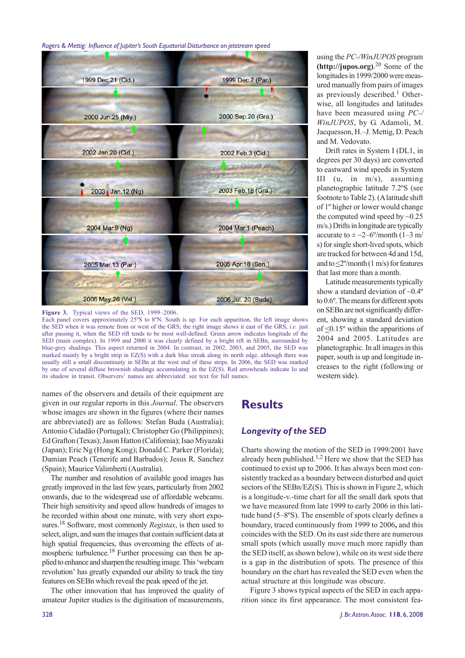

**Figure 3.** Typical views of the SED, 1999–2006.

Each panel covers approximately 25ºS to 8ºN. South is up. For each apparition, the left image shows the SED when it was remote from or west of the GRS; the right image shows it east of the GRS, *i.e.* just after passing it, when the SED rift tends to be most well-defined. Green arrow indicates longitude of the SED (main complex). In 1999 and 2000 it was clearly defined by a bright rift in SEBn, surrounded by blue-grey shadings. This aspect returned in 2004. In contrast, in 2002, 2003, and 2005, the SED was marked mainly by a bright strip in EZ(S) with a dark blue streak along its north edge, although there was usually still a small discontinuity in SEBn at the west end of these strips. In 2006, the SED was marked by one of several diffuse brownish shadings accumulating in the EZ(S). Red arrowheads indicate Io and its shadow in transit. Observers' names are abbreviated: see text for full names.

names of the observers and details of their equipment are given in our regular reports in this *Journal*. The observers whose images are shown in the figures (where their names are abbreviated) are as follows: Stefan Buda (Australia); Antonio Cidadão (Portugal); Christopher Go (Philippines); Ed Grafton (Texas); Jason Hatton (California); Isao Miyazaki (Japan); Eric Ng (Hong Kong); Donald C. Parker (Florida); Damian Peach (Tenerife and Barbados); Jesus R. Sanchez (Spain); Maurice Valimberti (Australia).

The number and resolution of available good images has greatly improved in the last few years, particularly from 2002 onwards, due to the widespread use of affordable webcams. Their high sensitivity and speed allow hundreds of images to be recorded within about one minute, with very short exposures.18 Software, most commonly *Registax*, is then used to select, align, and sum the images that contain sufficient data at high spatial frequencies, thus overcoming the effects of atmospheric turbulence.19 Further processing can then be applied to enhance and sharpen the resulting image. This 'webcam revolution' has greatly expanded our ability to track the tiny features on SEBn which reveal the peak speed of the jet.

The other innovation that has improved the quality of amateur Jupiter studies is the digitisation of measurements, using the *PC-/WinJUPOS* program **(http://jupos.org)**. 20 Some of the longitudes in 1999/2000 were measured manually from pairs of images as previously described.<sup>1</sup> Otherwise, all longitudes and latitudes have been measured using *PC-/ WinJUPOS*, by G. Adamoli, M. Jacquesson, H.–J. Mettig, D. Peach and M. Vedovato.

Drift rates in System I (DL1, in degrees per 30 days) are converted to eastward wind speeds in System III (u, in m/s), assuming planetographic latitude 7.2ºS (see footnote to Table 2). (A latitude shift of 1º higher or lower would change the computed wind speed by  $\sim 0.25$ m/s.) Drifts in longitude are typically accurate to  $\pm$  ~2–6°/month (1–3 m/ s) for single short-lived spots, which are tracked for between 4d and 15d, and to <2º/month (1 m/s) for features that last more than a month.

Latitude measurements typically show a standard deviation of  $\sim 0.4^\circ$ to 0.6º. The means for different spots on SEBn are not significantly different, showing a standard deviation of <0.15º within the apparitions of 2004 and 2005. Latitudes are planetographic. In all images in this paper, south is up and longitude increases to the right (following or western side).

# **Results**

# *Longevity of the SED*

Charts showing the motion of the SED in 1999/2001 have already been published.<sup>1,2</sup> Here we show that the SED has continued to exist up to 2006. It has always been most consistently tracked as a boundary between disturbed and quiet sectors of the SEBn/EZ(S). This is shown in Figure 2, which is a longitude-v.-time chart for all the small dark spots that we have measured from late 1999 to early 2006 in this latitude band (5–8ºS). The ensemble of spots clearly defines a boundary, traced continuously from 1999 to 2006**,** and this coincides with the SED. On its east side there are numerous small spots (which usually move much more rapidly than the SED itself, as shown below), while on its west side there is a gap in the distribution of spots. The presence of this boundary on the chart has revealed the SED even when the actual structure at this longitude was obscure.

Figure 3 shows typical aspects of the SED in each apparition since its first appearance. The most consistent fea-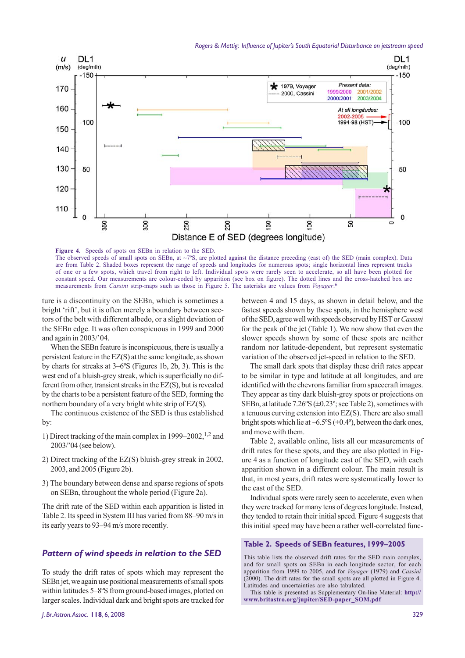

**Figure 4.** Speeds of spots on SEBn in relation to the SED. The observed speeds of small spots on SEBn, at  $\sim$ 7°S, are plotted against the distance preceding (east of) the SED (main complex). Data are from Table 2. Shaded boxes represent the range of speeds and longitudes for numerous spots; single horizontal lines represent tracks of one or a few spots, which travel from right to left. Individual spots were rarely seen to accelerate, so all have been plotted for constant speed. Our measurements are colour-coded by apparition (see box on figure). The dotted lines and the cross-hatched box are measurements from *Cassini* strip-maps such as those in Figure 5. The asterisks are values from *Voyager*. 6

ture is a discontinuity on the SEBn, which is sometimes a bright 'rift', but it is often merely a boundary between sectors of the belt with different albedo, or a slight deviation of the SEBn edge. It was often conspicuous in 1999 and 2000 and again in 2003/'04.

When the SEBn feature is inconspicuous, there is usually a persistent feature in the EZ(S) at the same longitude, as shown by charts for streaks at 3–6ºS (Figures 1b, 2b, 3). This is the west end of a bluish-grey streak, which is superficially no different from other, transient streaks in the EZ(S), but is revealed by the charts to be a persistent feature of the SED, forming the northern boundary of a very bright white strip of EZ(S).

The continuous existence of the SED is thus established by:

- 1) Direct tracking of the main complex in  $1999-2002$ , <sup>1,2</sup> and 2003/'04 (see below).
- 2) Direct tracking of the EZ(S) bluish-grey streak in 2002, 2003, and 2005 (Figure 2b).
- 3) The boundary between dense and sparse regions of spots on SEBn, throughout the whole period (Figure 2a).

The drift rate of the SED within each apparition is listed in Table 2. Its speed in System III has varied from 88–90 m/s in its early years to 93–94 m/s more recently.

# *Pattern of wind speeds in relation to the SED*

To study the drift rates of spots which may represent the SEBn jet, we again use positional measurements of small spots within latitudes 5–8ºS from ground-based images, plotted on larger scales. Individual dark and bright spots are tracked for

between 4 and 15 days, as shown in detail below, and the fastest speeds shown by these spots, in the hemisphere west of the SED, agree well with speeds observed by HST or *Cassini* for the peak of the jet (Table 1). We now show that even the slower speeds shown by some of these spots are neither random nor latitude-dependent, but represent systematic variation of the observed jet-speed in relation to the SED.

The small dark spots that display these drift rates appear to be similar in type and latitude at all longitudes, and are identified with the chevrons familiar from spacecraft images. They appear as tiny dark bluish-grey spots or projections on SEBn, at latitude  $7.26\textdegree\text{S}$  ( $\pm 0.23\textdegree$ ; see Table 2), sometimes with a tenuous curving extension into EZ(S). There are also small bright spots which lie at  $\sim 6.5\text{°S}$  ( $\pm 0.4\text{°}$ ), between the dark ones, and move with them.

Table 2, available online, lists all our measurements of drift rates for these spots, and they are also plotted in Figure 4 as a function of longitude east of the SED, with each apparition shown in a different colour. The main result is that, in most years, drift rates were systematically lower to the east of the SED.

Individual spots were rarely seen to accelerate, even when they were tracked for many tens of degrees longitude. Instead, they tended to retain their initial speed. Figure 4 suggests that this initial speed may have been a rather well-correlated func-

#### **Table 2. Speeds of SEBn features, 1999–2005**

This table lists the observed drift rates for the SED main complex, and for small spots on SEBn in each longitude sector, for each apparition from 1999 to 2005, and for *Voyager* (1979) and *Cassini* (2000). The drift rates for the small spots are all plotted in Figure 4. Latitudes and uncertainties are also tabulated.

This table is presented as Supplementary On-line Material: **http:// www.britastro.org/jupiter/SED-paper\_SOM.pdf**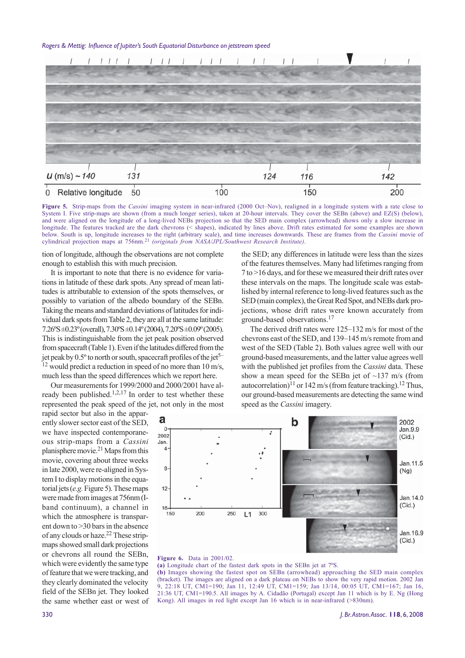

**Figure 5.** Strip-maps from the *Cassini* imaging system in near-infrared (2000 Oct–Nov), realigned in a longitude system with a rate close to System I. Five strip-maps are shown (from a much longer series), taken at 20-hour intervals. They cover the SEBn (above) and EZ(S) (below), and were aligned on the longitude of a long-lived NEBs projection so that the SED main complex (arrowhead) shows only a slow increase in longitude. The features tracked are the dark chevrons (< shapes), indicated by lines above. Drift rates estimated for some examples are shown below. South is up, longitude increases to the right (arbitrary scale), and time increases downwards. These are frames from the *Cassini* movie of cylindrical projection maps at 756nm.21 *(originals from NASA/JPL/Southwest Research Institute)*.

tion of longitude, although the observations are not complete enough to establish this with much precision.

It is important to note that there is no evidence for variations in latitude of these dark spots. Any spread of mean latitudes is attributable to extension of the spots themselves, or possibly to variation of the albedo boundary of the SEBn. Taking the means and standard deviations of latitudes for individual dark spots from Table 2, they are all at the same latitude: 7.26ºS ±0.23º (overall), 7.30ºS ±0.14º (2004), 7.20ºS ±0.09º (2005). This is indistinguishable from the jet peak position observed from spacecraft (Table 1). Even if the latitudes differed from the jet peak by  $0.5^{\circ}$  to north or south, spacecraft profiles of the jet<sup>5–</sup> <sup>12</sup> would predict a reduction in speed of no more than 10 m/s, much less than the speed differences which we report here.

Our measurements for 1999/2000 and 2000/2001 have already been published.<sup>1,2,17</sup> In order to test whether these represented the peak speed of the jet, not only in the most

rapid sector but also in the apparently slower sector east of the SED, we have inspected contemporaneous strip-maps from a *Cassini* planisphere movie.21 Maps from this movie, covering about three weeks in late 2000, were re-aligned in System I to display motions in the equatorial jets (*e.g.*Figure 5). These maps were made from images at 756nm (Iband continuum), a channel in which the atmosphere is transparent down to >30 bars in the absence of any clouds or haze.22 These stripmaps showed small dark projections or chevrons all round the SEBn, which were evidently the same type of feature that we were tracking, and they clearly dominated the velocity field of the SEBn jet. They looked the same whether east or west of the SED; any differences in latitude were less than the sizes of the features themselves. Many had lifetimes ranging from 7 to >16 days, and for these we measured their drift rates over these intervals on the maps. The longitude scale was established by internal reference to long-lived features such as the SED (main complex), the Great Red Spot, and NEBs dark projections, whose drift rates were known accurately from ground-based observations.17

The derived drift rates were 125–132 m/s for most of the chevrons east of the SED, and 139–145 m/s remote from and west of the SED (Table 2). Both values agree well with our ground-based measurements, and the latter value agrees well with the published jet profiles from the *Cassini* data. These show a mean speed for the SEBn jet of  $\sim$ 137 m/s (from autocorrelation)<sup>11</sup> or 142 m/s (from feature tracking).<sup>12</sup> Thus, our ground-based measurements are detecting the same wind speed as the *Cassini* imagery.



#### **Figure 6.** Data in 2001/02.

**(a)** Longitude chart of the fastest dark spots in the SEBn jet at 7ºS. **(b)** Images showing the fastest spot on SEBn (arrowhead) approaching the SED main complex (bracket). The images are aligned on a dark plateau on NEBs to show the very rapid motion. 2002 Jan 9, 22:18 UT, CM1=190; Jan 11, 12:49 UT, CM1=159; Jan 13/14, 00:05 UT, CM1=167; Jan 16, 21:36 UT, CM1=190.5. All images by A. Cidadão (Portugal) except Jan 11 which is by E. Ng (Hong Kong). All images in red light except Jan 16 which is in near-infrared (>830nm).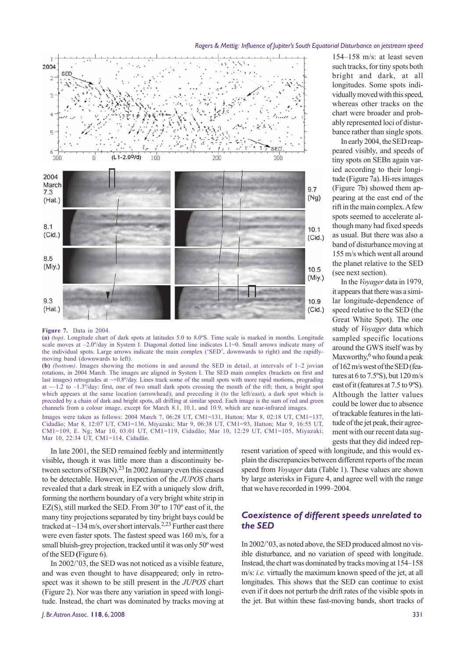

154–158 m/s: at least seven such tracks, for tiny spots both bright and dark, at all longitudes. Some spots individually moved with this speed, whereas other tracks on the chart were broader and probably represented loci of disturbance rather than single spots.

In early 2004, the SED reappeared visibly, and speeds of tiny spots on SEBn again varied according to their longitude (Figure 7a). Hi-res images (Figure 7b) showed them appearing at the east end of the rift in the main complex. A few spots seemed to accelerate although many had fixed speeds as usual. But there was also a band of disturbance moving at 155 m/s which went all around the planet relative to the SED (see next section).

In the *Voyager* data in 1979, it appears that there was a similar longitude-dependence of speed relative to the SED (the Great White Spot). The one study of *Voyager* data which sampled specific locations around the GWS itself was by Maxworthy, $6$  who found a peak of 162 m/s west of the SED (features at 6 to 7.5ºS), but 120 m/s east of it (features at 7.5 to 9ºS). Although the latter values could be lower due to absence of trackable features in the latitude of the jet peak, their agreement with our recent data suggests that they did indeed rep-

#### **Figure 7.** Data in 2004.

**(a)** *(top)*. Longitude chart of dark spots at latitudes 5.0 to 8.0ºS. Time scale is marked in months. Longitude scale moves at  $-2.0^{\circ}$ /day in System I. Diagonal dotted line indicates L1=0. Small arrows indicate many of the individual spots. Large arrows indicate the main complex ('SED', downwards to right) and the rapidlymoving band (downwards to left).

**(b)** *(bottom)*. Images showing the motions in and around the SED in detail, at intervals of 1–2 jovian rotations, in 2004 March. The images are aligned in System I. The SED main complex (brackets on first and last images) retrogrades at  $\sim +0.8^{\circ}/dx$ . Lines track some of the small spots with more rapid motions, prograding at  $\sim$ –1.2 to –1.3°/day: first, one of two small dark spots crossing the mouth of the rift; then, a bright spot which appears at the same location (arrowhead); and preceding it (to the left/east), a dark spot which is preceded by a chain of dark and bright spots, all drifting at similar speed. Each image is the sum of red and green channels from a colour image, except for March 8.1, 10.1, and 10.9, which are near-infrared images.

Images were taken as follows: 2004 March 7, 06:28 UT, CM1=131, Hatton; Mar 8, 02:18 UT, CM1=137, Cidadão; Mar 8, 12:07 UT, CM1=136, Miyazaki; Mar 9, 06:38 UT, CM1=93, Hatton; Mar 9, 16:55 UT, CM1=109, E. Ng; Mar 10, 03:01 UT, CM1=119, Cidadão; Mar 10, 12:29 UT, CM1=105, Miyazaki; Mar 10, 22:34 UT, CM1=114, Cidadão.

In late 2001, the SED remained feebly and intermittently visible**,** though it was little more than a discontinuity between sectors of  $SEB(N).^{23}$  In 2002 January even this ceased to be detectable. However, inspection of the *JUPOS* charts revealed that a dark streak in EZ with a uniquely slow drift, forming the northern boundary of a very bright white strip in EZ(S), still marked the SED. From 30º to 170º east of it, the many tiny projections separated by tiny bright bays could be tracked at ~134 m/s, over short intervals.<sup>2,23</sup> Further east there were even faster spots. The fastest speed was 160 m/s, for a small bluish-grey projection, tracked until it was only 50º west of the SED **(**Figure 6).

In 2002/'03, the SED was not noticed as a visible feature, and was even thought to have disappeared; only in retrospect was it shown to be still present in the *JUPOS* chart (Figure 2). Nor was there any variation in speed with longitude. Instead, the chart was dominated by tracks moving at

resent variation of speed with longitude, and this would explain the discrepancies between different reports of the mean speed from *Voyager* data (Table 1). These values are shown by large asterisks in Figure 4, and agree well with the range that we have recorded in 1999–2004.

### *Coexistence of different speeds unrelated to the SED*

In 2002/'03, as noted above, the SED produced almost no visible disturbance, and no variation of speed with longitude. Instead, the chart was dominated by tracks moving at 154–158 m/s: *i.e.* virtually the maximum known speed of the jet, at all longitudes. This shows that the SED can continue to exist even if it does not perturb the drift rates of the visible spots in the jet. But within these fast-moving bands, short tracks of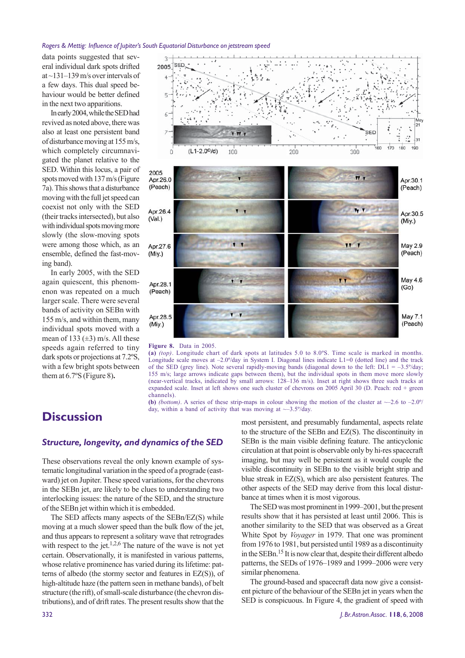data points suggested that several individual dark spots drifted at ~131–139 m/s over intervals of a few days. This dual speed behaviour would be better defined in the next two apparitions.

In early 2004, while the SED had revived as noted above, there was also at least one persistent band of disturbance moving at 155 m/s, which completely circumnavigated the planet relative to the SED. Within this locus, a pair of spots moved with 137 m/s (Figure 7a). This shows that a disturbance moving with the full jet speed can coexist not only with the SED (their tracks intersected), but also with individual spots moving more slowly (the slow-moving spots were among those which, as an ensemble, defined the fast-moving band).

In early 2005, with the SED again quiescent, this phenomenon was repeated on a much larger scale. There were several bands of activity on SEBn with 155 m/s, and within them, many individual spots moved with a mean of 133  $(\pm 3)$  m/s. All these speeds again referred to tiny dark spots or projections at 7.2ºS, with a few bright spots between them at 6.7ºS (Figure 8)**.**



#### **Figure 8.** Data in 2005.

**(a)** *(top)*. Longitude chart of dark spots at latitudes 5.0 to 8.0ºS. Time scale is marked in months. Longitude scale moves at  $-2.0^{\circ}/\text{day}$  in System I. Diagonal lines indicate L1=0 (dotted line) and the track of the SED (grey line). Note several rapidly-moving bands (diagonal down to the left:  $DL1 = -3.5^{\circ}/day$ ; 155 m/s; large arrows indicate gaps between them), but the individual spots in them move more slowly (near-vertical tracks, indicated by small arrows: 128–136 m/s). Inset at right shows three such tracks at expanded scale. Inset at left shows one such cluster of chevrons on 2005 April 30 (D. Peach: red + green channels).

**(b)** *(bottom)*. A series of these strip-maps in colour showing the motion of the cluster at  $\sim$ –2.6 to –2.0<sup>o</sup>/ day, within a band of activity that was moving at  $\sim$ -3.5 $\degree$ /day.

# **Discussion**

### *Structure, longevity, and dynamics of the SED*

These observations reveal the only known example of systematic longitudinal variation in the speed of a prograde (eastward) jet on Jupiter. These speed variations, for the chevrons in the SEBn jet, are likely to be clues to understanding two interlocking issues: the nature of the SED, and the structure of the SEBn jet within which it is embedded.

The SED affects many aspects of the SEBn/EZ(S) while moving at a much slower speed than the bulk flow of the jet, and thus appears to represent a solitary wave that retrogrades with respect to the jet.<sup>1,2,6</sup> The nature of the wave is not yet certain. Observationally, it is manifested in various patterns, whose relative prominence has varied during its lifetime: patterns of albedo (the stormy sector and features in EZ(S)), of high-altitude haze (the pattern seen in methane bands), of belt structure (the rift), of small-scale disturbance (the chevron distributions), and of drift rates. The present results show that the

most persistent, and presumably fundamental, aspects relate to the structure of the SEBn and EZ(S). The discontinuity in SEBn is the main visible defining feature. The anticyclonic circulation at that point is observable only by hi-res spacecraft imaging, but may well be persistent as it would couple the visible discontinuity in SEBn to the visible bright strip and blue streak in EZ(S), which are also persistent features. The other aspects of the SED may derive from this local disturbance at times when it is most vigorous.

The SED was most prominent in 1999–2001, but the present results show that it has persisted at least until 2006. This is another similarity to the SED that was observed as a Great White Spot by *Voyager* in 1979. That one was prominent from 1976 to 1981, but persisted until 1989 as a discontinuity in the SEBn.15 It is now clear that, despite their different albedo patterns, the SEDs of 1976–1989 and 1999–2006 were very similar phenomena.

The ground-based and spacecraft data now give a consistent picture of the behaviour of the SEBn jet in years when the SED is conspicuous. In Figure 4, the gradient of speed with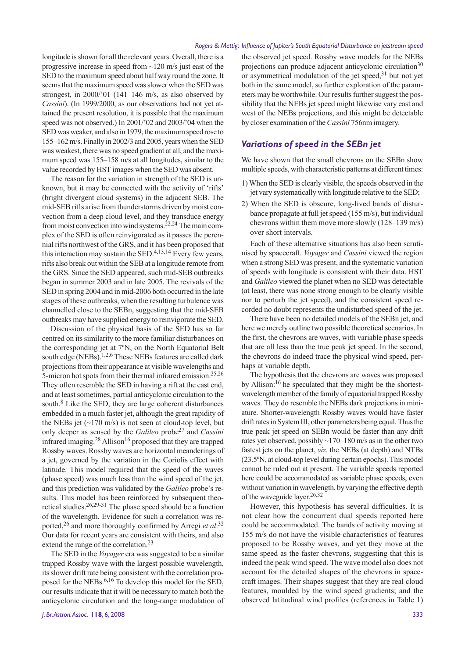longitude is shown for all the relevant years. Overall, there is a progressive increase in speed from ~120 m/s just east of the SED to the maximum speed about half way round the zone. It seems that the maximum speed was slower when the SED was strongest, in 2000/'01 (141–146 m/s, as also observed by *Cassini*). (In 1999/2000, as our observations had not yet attained the present resolution, it is possible that the maximum speed was not observed.) In 2001/'02 and 2003/'04 when the SED was weaker, and also in 1979, the maximum speed rose to 155–162 m/s. Finally in 2002/3 and 2005, years when the SED was weakest, there was no speed gradient at all, and the maximum speed was 155–158 m/s at all longitudes, similar to the value recorded by HST images when the SED was absent.

The reason for the variation in strength of the SED is unknown, but it may be connected with the activity of 'rifts' (bright divergent cloud systems) in the adjacent SEB. The mid-SEB rifts arise from thunderstorms driven by moist convection from a deep cloud level, and they transduce energy from moist convection into wind systems.22,24 The main complex of the SED is often reinvigorated as it passes the perennial rifts northwest of the GRS, and it has been proposed that this interaction may sustain the SED.4,13,14 Every few years, rifts also break out within the SEB at a longitude remote from the GRS. Since the SED appeared, such mid-SEB outbreaks began in summer 2003 and in late 2005. The revivals of the SED in spring 2004 and in mid-2006 both occurred in the late stages of these outbreaks, when the resulting turbulence was channelled close to the SEBn, suggesting that the mid-SEB outbreaks may have supplied energy to reinvigorate the SED.

Discussion of the physical basis of the SED has so far centred on its similarity to the more familiar disturbances on the corresponding jet at 7ºN, on the North Equatorial Belt south edge (NEBs).<sup>1,2,6</sup> These NEBs features are called dark projections from their appearance at visible wavelengths and 5-micron hot spots from their thermal infrared emission.<sup>25,26</sup> They often resemble the SED in having a rift at the east end, and at least sometimes, partial anticyclonic circulation to the south.<sup>8</sup> Like the SED, they are large coherent disturbances embedded in a much faster jet, although the great rapidity of the NEBs jet  $(\sim 170 \text{ m/s})$  is not seen at cloud-top level, but only deeper as sensed by the *Galileo* probe27 and *Cassini* infrared imaging. $28$  Allison<sup>16</sup> proposed that they are trapped Rossby waves. Rossby waves are horizontal meanderings of a jet, governed by the variation in the Coriolis effect with latitude. This model required that the speed of the waves (phase speed) was much less than the wind speed of the jet, and this prediction was validated by the *Galileo* probe's results. This model has been reinforced by subsequent theoretical studies.26,29-31 The phase speed should be a function of the wavelength. Evidence for such a correlation was reported,<sup>26</sup> and more thoroughly confirmed by Arregi *et al.*<sup>32</sup> Our data for recent years are consistent with theirs, and also extend the range of the correlation.<sup>23</sup>

The SED in the *Voyager* era was suggested to be a similar trapped Rossby wave with the largest possible wavelength, its slower drift rate being consistent with the correlation proposed for the NEBs.<sup>6,16</sup> To develop this model for the SED, our results indicate that it will be necessary to match both the anticyclonic circulation and the long-range modulation of

the observed jet speed. Rossby wave models for the NEBs projections can produce adjacent anticyclonic circulation<sup>30</sup> or asymmetrical modulation of the jet speed, $31$  but not yet both in the same model, so further exploration of the parameters may be worthwhile. Our results further suggest the possibility that the NEBs jet speed might likewise vary east and west of the NEBs projections, and this might be detectable by closer examination of the *Cassini* 756nm imagery.

### *Variations of speed in the SEBn jet*

We have shown that the small chevrons on the SEBn show multiple speeds, with characteristic patterns at different times:

- 1) When the SED is clearly visible, the speeds observed in the jet vary systematically with longitude relative to the SED;
- 2) When the SED is obscure, long-lived bands of disturbance propagate at full jet speed (155 m/s), but individual chevrons within them move more slowly (128–139 m/s) over short intervals.

Each of these alternative situations has also been scrutinised by spacecraft. *Voyager* and *Cassini* viewed the region when a strong SED was present, and the systematic variation of speeds with longitude is consistent with their data. HST and *Galileo* viewed the planet when no SED was detectable (at least, there was none strong enough to be clearly visible nor to perturb the jet speed), and the consistent speed recorded no doubt represents the undisturbed speed of the jet.

There have been no detailed models of the SEBn jet, and here we merely outline two possible theoretical scenarios. In the first, the chevrons are waves, with variable phase speeds that are all less than the true peak jet speed. In the second, the chevrons do indeed trace the physical wind speed, perhaps at variable depth.

The hypothesis that the chevrons are waves was proposed by Allison:<sup>16</sup> he speculated that they might be the shortestwavelength member of the family of equatorial trapped Rossby waves. They do resemble the NEBs dark projections in miniature. Shorter-wavelength Rossby waves would have faster drift rates in System III, other parameters being equal. Thus the true peak jet speed on SEBn would be faster than any drift rates yet observed, possibly  $\sim$ 170–180 m/s as in the other two fastest jets on the planet, *viz*. the NEBs (at depth) and NTBs (23.5ºN, at cloud-top level during certain epochs). This model cannot be ruled out at present. The variable speeds reported here could be accommodated as variable phase speeds, even without variation in wavelength, by varying the effective depth of the waveguide layer.<sup>26,32</sup>

However, this hypothesis has several difficulties. It is not clear how the concurrent dual speeds reported here could be accommodated. The bands of activity moving at 155 m/s do not have the visible characteristics of features proposed to be Rossby waves, and yet they move at the same speed as the faster chevrons, suggesting that this is indeed the peak wind speed. The wave model also does not account for the detailed shapes of the chevrons in spacecraft images. Their shapes suggest that they are real cloud features, moulded by the wind speed gradients; and the observed latitudinal wind profiles (references in Table 1)